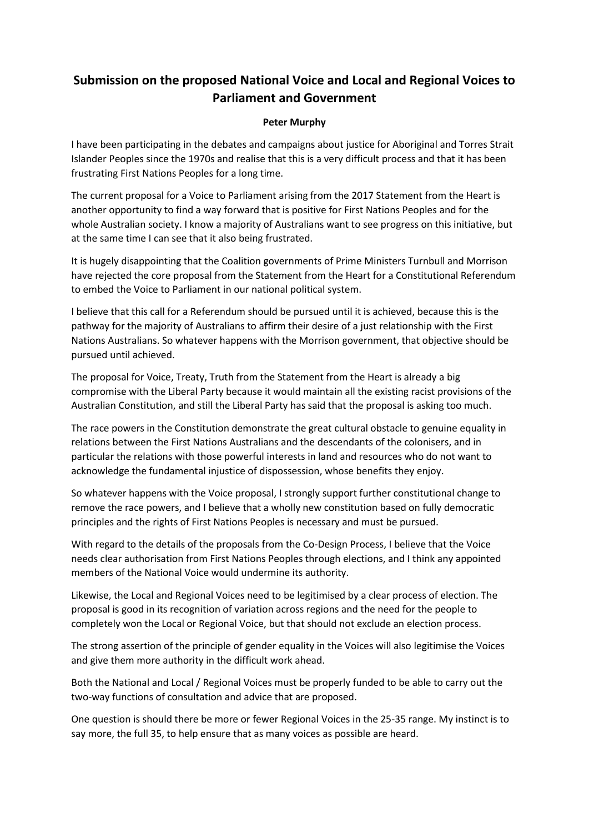## **Submission on the proposed National Voice and Local and Regional Voices to Parliament and Government**

## **Peter Murphy**

I have been participating in the debates and campaigns about justice for Aboriginal and Torres Strait Islander Peoples since the 1970s and realise that this is a very difficult process and that it has been frustrating First Nations Peoples for a long time.

The current proposal for a Voice to Parliament arising from the 2017 Statement from the Heart is another opportunity to find a way forward that is positive for First Nations Peoples and for the whole Australian society. I know a majority of Australians want to see progress on this initiative, but at the same time I can see that it also being frustrated.

It is hugely disappointing that the Coalition governments of Prime Ministers Turnbull and Morrison have rejected the core proposal from the Statement from the Heart for a Constitutional Referendum to embed the Voice to Parliament in our national political system.

I believe that this call for a Referendum should be pursued until it is achieved, because this is the pathway for the majority of Australians to affirm their desire of a just relationship with the First Nations Australians. So whatever happens with the Morrison government, that objective should be pursued until achieved.

The proposal for Voice, Treaty, Truth from the Statement from the Heart is already a big compromise with the Liberal Party because it would maintain all the existing racist provisions of the Australian Constitution, and still the Liberal Party has said that the proposal is asking too much.

The race powers in the Constitution demonstrate the great cultural obstacle to genuine equality in relations between the First Nations Australians and the descendants of the colonisers, and in particular the relations with those powerful interests in land and resources who do not want to acknowledge the fundamental injustice of dispossession, whose benefits they enjoy.

So whatever happens with the Voice proposal, I strongly support further constitutional change to remove the race powers, and I believe that a wholly new constitution based on fully democratic principles and the rights of First Nations Peoples is necessary and must be pursued.

With regard to the details of the proposals from the Co-Design Process, I believe that the Voice needs clear authorisation from First Nations Peoples through elections, and I think any appointed members of the National Voice would undermine its authority.

Likewise, the Local and Regional Voices need to be legitimised by a clear process of election. The proposal is good in its recognition of variation across regions and the need for the people to completely won the Local or Regional Voice, but that should not exclude an election process.

The strong assertion of the principle of gender equality in the Voices will also legitimise the Voices and give them more authority in the difficult work ahead.

Both the National and Local / Regional Voices must be properly funded to be able to carry out the two-way functions of consultation and advice that are proposed.

One question is should there be more or fewer Regional Voices in the 25-35 range. My instinct is to say more, the full 35, to help ensure that as many voices as possible are heard.